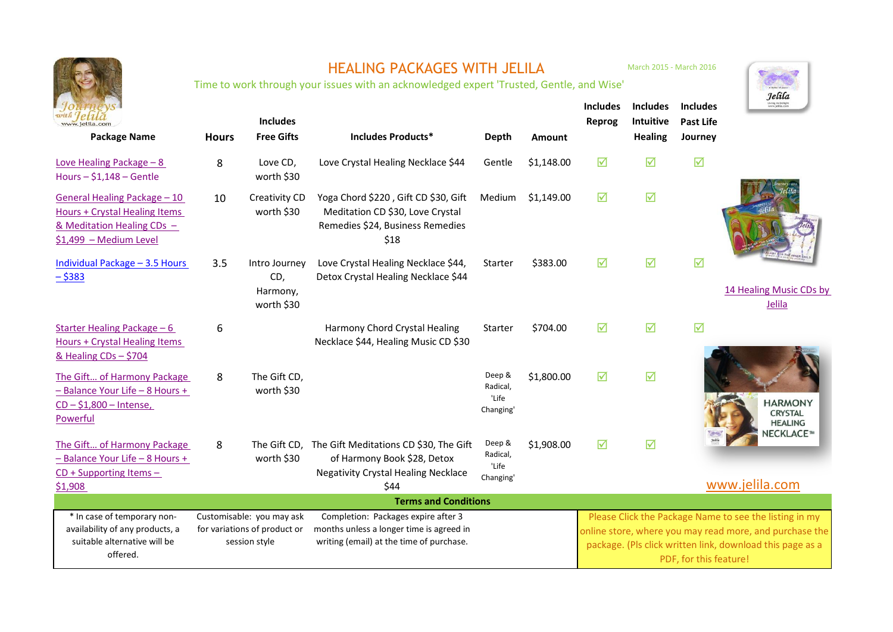|                                                                                                                       | <b>HEALING PACKAGES WITH JELILA</b><br>Time to work through your issues with an acknowledged expert 'Trusted, Gentle, and Wise' |                                                                            |                                                                                                                             |                                          |               | March 2015 - March 2016                                                                                                                                                                                  |                                                       |                                                | Jelila                                             |
|-----------------------------------------------------------------------------------------------------------------------|---------------------------------------------------------------------------------------------------------------------------------|----------------------------------------------------------------------------|-----------------------------------------------------------------------------------------------------------------------------|------------------------------------------|---------------|----------------------------------------------------------------------------------------------------------------------------------------------------------------------------------------------------------|-------------------------------------------------------|------------------------------------------------|----------------------------------------------------|
| <b>Package Name</b>                                                                                                   | <b>Hours</b>                                                                                                                    | <b>Includes</b><br><b>Free Gifts</b>                                       | Includes Products*                                                                                                          | <b>Depth</b>                             | <b>Amount</b> | <b>Includes</b><br>Reprog                                                                                                                                                                                | <b>Includes</b><br><b>Intuitive</b><br><b>Healing</b> | <b>Includes</b><br><b>Past Life</b><br>Journey |                                                    |
| Love Healing Package - 8<br>Hours $- $1,148 - \text{Gentle}$                                                          | 8                                                                                                                               | Love CD,<br>worth \$30                                                     | Love Crystal Healing Necklace \$44                                                                                          | Gentle                                   | \$1,148.00    | ☑                                                                                                                                                                                                        | ☑                                                     | ☑                                              |                                                    |
| General Healing Package - 10<br>Hours + Crystal Healing Items<br>& Meditation Healing CDs -<br>\$1,499 - Medium Level | 10                                                                                                                              | Creativity CD<br>worth \$30                                                | Yoga Chord \$220, Gift CD \$30, Gift<br>Meditation CD \$30, Love Crystal<br>Remedies \$24, Business Remedies<br>\$18        | Medium                                   | \$1,149.00    | ☑                                                                                                                                                                                                        | ☑                                                     |                                                |                                                    |
| Individual Package - 3.5 Hours<br>$-$ \$383                                                                           | 3.5                                                                                                                             | Intro Journey<br>CD,<br>Harmony,<br>worth \$30                             | Love Crystal Healing Necklace \$44,<br>Detox Crystal Healing Necklace \$44                                                  | Starter                                  | \$383.00      | ☑                                                                                                                                                                                                        | ☑                                                     | ☑                                              | 14 Healing Music CDs by<br>Jelila                  |
| Starter Healing Package - 6<br><b>Hours + Crystal Healing Items</b><br>& Healing $CDs - $704$                         | 6                                                                                                                               |                                                                            | Harmony Chord Crystal Healing<br>Necklace \$44, Healing Music CD \$30                                                       | Starter                                  | \$704.00      | ☑                                                                                                                                                                                                        | ☑                                                     | ☑                                              |                                                    |
| The Gift of Harmony Package<br>- Balance Your Life - 8 Hours +<br>$CD - $1,800 - Intense$<br>Powerful                 | 8                                                                                                                               | The Gift CD,<br>worth \$30                                                 |                                                                                                                             | Deep &<br>Radical,<br>'Life<br>Changing' | \$1,800.00    | $\triangledown$                                                                                                                                                                                          | $\triangledown$                                       |                                                | <b>HARMONY</b><br><b>CRYSTAL</b><br><b>HEALING</b> |
| The Gift of Harmony Package<br>- Balance Your Life - 8 Hours +<br>$CD + Supporting$ Items -<br>\$1,908                | 8                                                                                                                               | The Gift CD,<br>worth \$30                                                 | The Gift Meditations CD \$30, The Gift<br>of Harmony Book \$28, Detox<br><b>Negativity Crystal Healing Necklace</b><br>\$44 | Deep &<br>Radical,<br>'Life<br>Changing' | \$1,908.00    | ☑                                                                                                                                                                                                        | ☑                                                     |                                                | NECKLACE™<br>www.jelila.com                        |
| <b>Terms and Conditions</b>                                                                                           |                                                                                                                                 |                                                                            |                                                                                                                             |                                          |               |                                                                                                                                                                                                          |                                                       |                                                |                                                    |
| * In case of temporary non-<br>availability of any products, a<br>suitable alternative will be<br>offered.            |                                                                                                                                 | Customisable: you may ask<br>for variations of product or<br>session style | Completion: Packages expire after 3<br>months unless a longer time is agreed in<br>writing (email) at the time of purchase. |                                          |               | Please Click the Package Name to see the listing in my<br>online store, where you may read more, and purchase the<br>package. (Pls click written link, download this page as a<br>PDF, for this feature! |                                                       |                                                |                                                    |